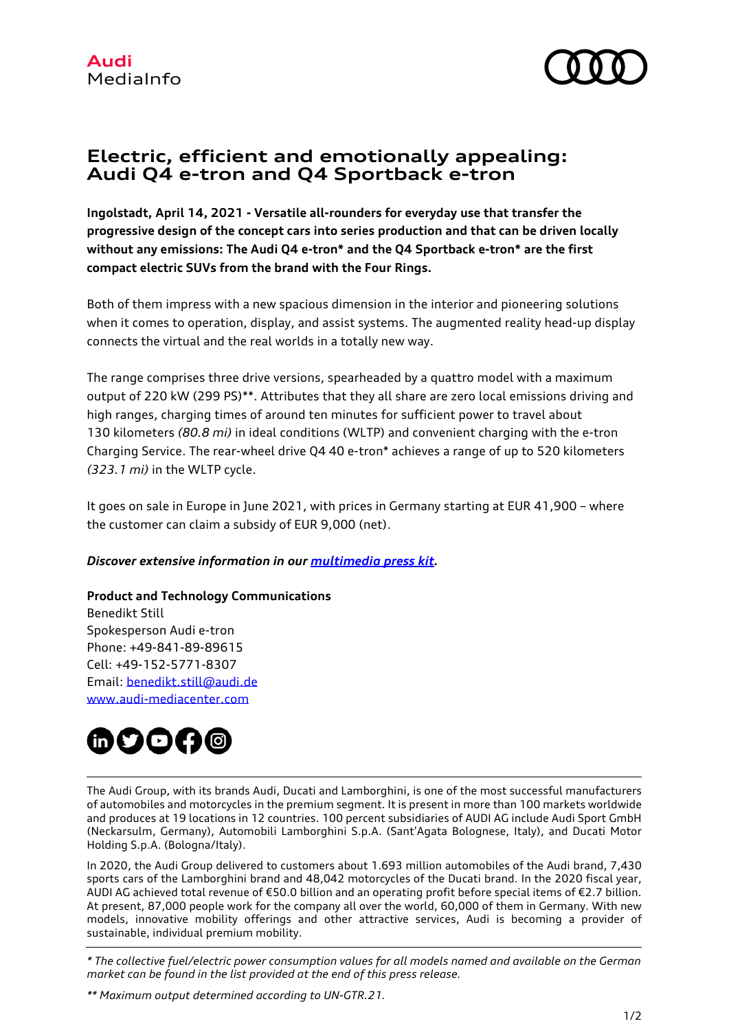

# **Electric, efficient and emotionally appealing: Audi Q4 e-tron and Q4 Sportback e-tron**

**Ingolstadt, April 14, 2021 - Versatile all-rounders for everyday use that transfer the progressive design of the concept cars into series production and that can be driven locally without any emissions: The Audi Q4 e-tron\* and the Q4 Sportback e-tron\* are the first compact electric SUVs from the brand with the Four Rings.** 

Both of them impress with a new spacious dimension in the interior and pioneering solutions when it comes to operation, display, and assist systems. The augmented reality head-up display connects the virtual and the real worlds in a totally new way.

The range comprises three drive versions, spearheaded by a quattro model with a maximum output of 220 kW (299 PS)\*\*. Attributes that they all share are zero local emissions driving and high ranges, charging times of around ten minutes for sufficient power to travel about 130 kilometers *(80.8 mi)* in ideal conditions (WLTP) and convenient charging with the e-tron Charging Service. The rear-wheel drive Q4 40 e-tron\* achieves a range of up to 520 kilometers *(323.1 mi)* in the WLTP cycle.

It goes on sale in Europe in June 2021, with prices in Germany starting at EUR 41,900 – where the customer can claim a subsidy of EUR 9,000 (net).

# *Discover extensive information in our [multimedia press kit.](https://www.audi-mediacenter.com/en/presskits/audi-q4-e-tron-and-audi-q4-sportback-e-tron-13914)*

# **Product and Technology Communications**

Benedikt Still Spokesperson Audi e-tron Phone: +49-841-89-89615 Cell: +49-152-5771-8307 Email: [benedikt.still@audi.de](mailto:benedikt.still@audi.de) [www.audi-mediacenter.com](http://www.audi-mediacenter.com/de%0d)



The Audi Group, with its brands Audi, Ducati and Lamborghini, is one of the most successful manufacturers of automobiles and motorcycles in the premium segment. It is present in more than 100 markets worldwide and produces at 19 locations in 12 countries. 100 percent subsidiaries of AUDI AG include Audi Sport GmbH (Neckarsulm, Germany), Automobili Lamborghini S.p.A. (Sant'Agata Bolognese, Italy), and Ducati Motor Holding S.p.A. (Bologna/Italy).

In 2020, the Audi Group delivered to customers about 1.693 million automobiles of the Audi brand, 7,430 sports cars of the Lamborghini brand and 48,042 motorcycles of the Ducati brand. In the 2020 fiscal year, AUDI AG achieved total revenue of €50.0 billion and an operating profit before special items of €2.7 billion. At present, 87,000 people work for the company all over the world, 60,000 of them in Germany. With new models, innovative mobility offerings and other attractive services, Audi is becoming a provider of sustainable, individual premium mobility.

*\* The collective fuel/electric power consumption values for all models named and available on the German market can be found in the list provided at the end of this press release.*

*\*\* Maximum output determined according to UN-GTR.21.*